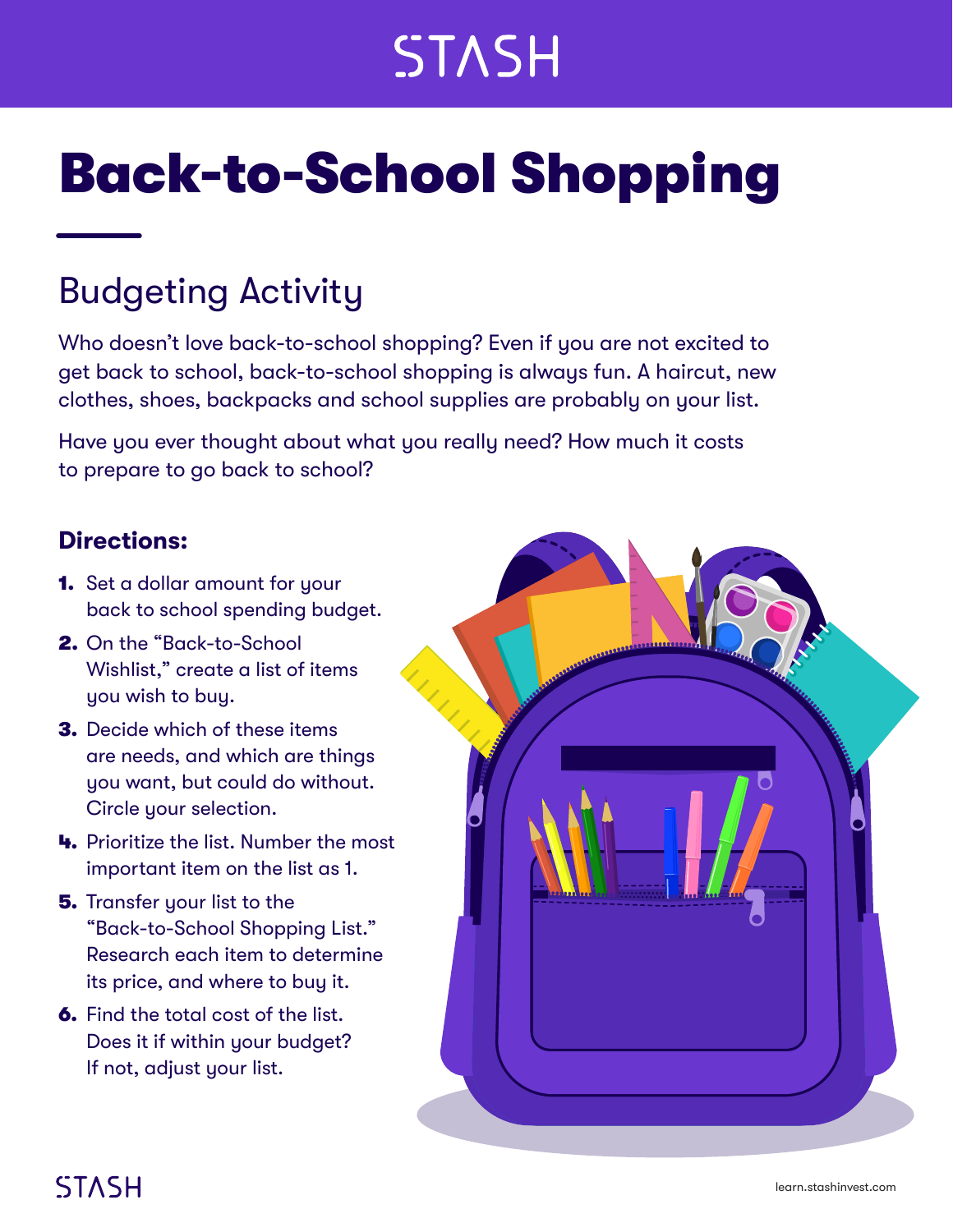## **STASH**

# Back-to-School Shopping

### Budgeting Activity

Who doesn't love back-to-school shopping? Even if you are not excited to get back to school, back-to-school shopping is always fun. A haircut, new clothes, shoes, backpacks and school supplies are probably on your list.

Have you ever thought about what you really need? How much it costs to prepare to go back to school?

#### **Directions:**

- **1.** Set a dollar amount for your back to school spending budget.
- 2. On the "Back-to-School Wishlist," create a list of items you wish to buy.
- 3. Decide which of these items are needs, and which are things you want, but could do without. Circle your selection.
- 4. Prioritize the list. Number the most important item on the list as 1.
- **5.** Transfer your list to the "Back-to-School Shopping List." Research each item to determine its price, and where to buy it.
- 6. Find the total cost of the list. Does it if within your budget? If not, adjust your list.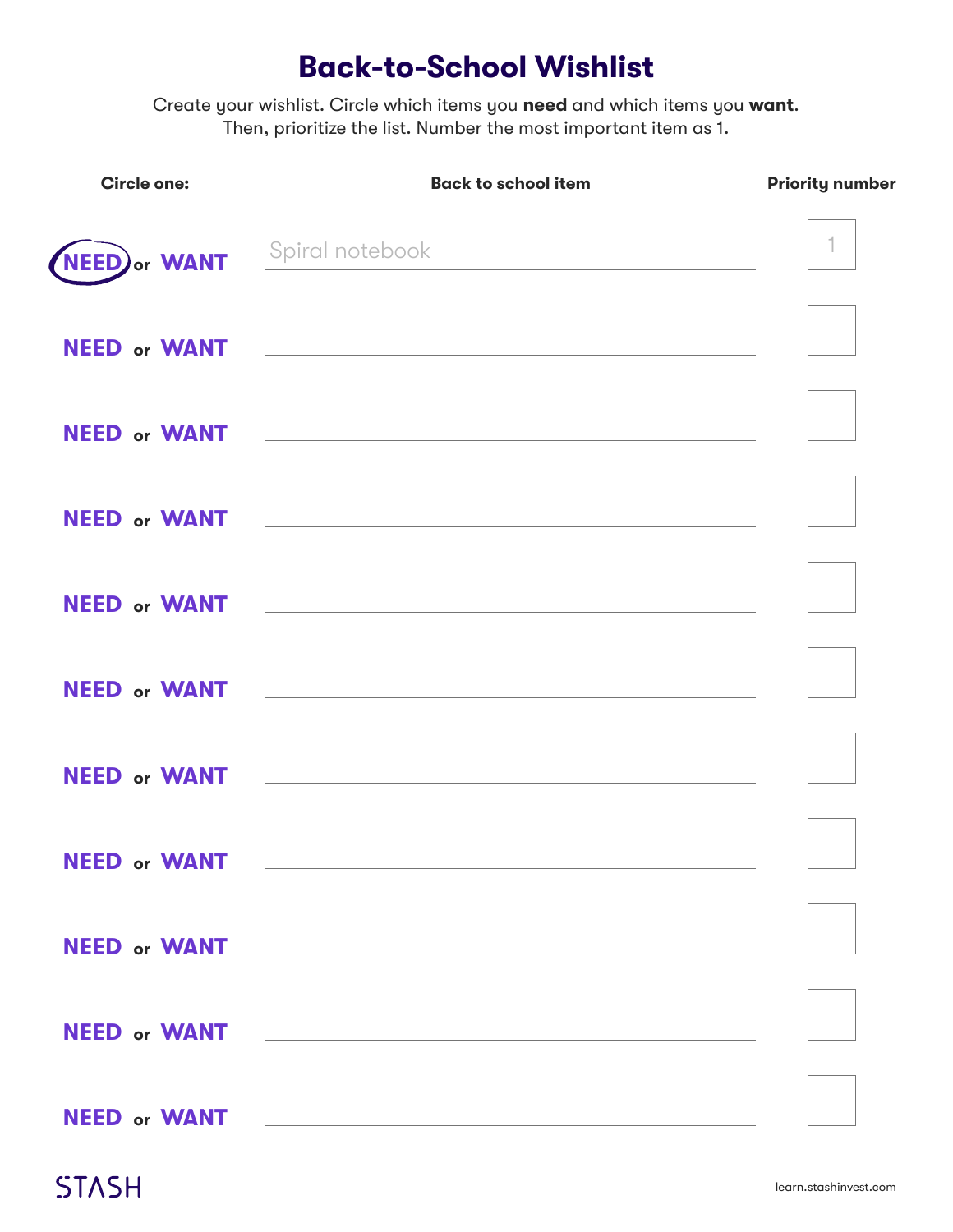#### **Back-to-School Wishlist**

Create your wishlist. Circle which items you **need** and which items you **want**. Then, prioritize the list. Number the most important item as 1.

| <b>Circle one:</b>             | <b>Back to school item</b>                                                                                                                                                                                                     | <b>Priority number</b> |
|--------------------------------|--------------------------------------------------------------------------------------------------------------------------------------------------------------------------------------------------------------------------------|------------------------|
| (NEED) or WANT Spiral notebook | <u> 1980 - Johann Barbara, martin d</u>                                                                                                                                                                                        | 1.                     |
|                                |                                                                                                                                                                                                                                |                        |
|                                |                                                                                                                                                                                                                                |                        |
|                                |                                                                                                                                                                                                                                |                        |
|                                | NEED or WANT The Contract of the Manual Contract of the Manual Contract of the Manual Contract of the Manual Contract of the Manual Contract of the Manual Contract of the Manual Contract of the Manual Contract of the Manua |                        |
|                                |                                                                                                                                                                                                                                |                        |
|                                |                                                                                                                                                                                                                                |                        |
| <b>NEED or WANT</b>            |                                                                                                                                                                                                                                |                        |
| NEED or WANT                   |                                                                                                                                                                                                                                |                        |
|                                |                                                                                                                                                                                                                                |                        |
| <b>NEED or WANT</b>            | <u> 1980 - Johann Stein, mars an deutscher Stein und der Stein und der Stein und der Stein und der Stein und der</u>                                                                                                           |                        |